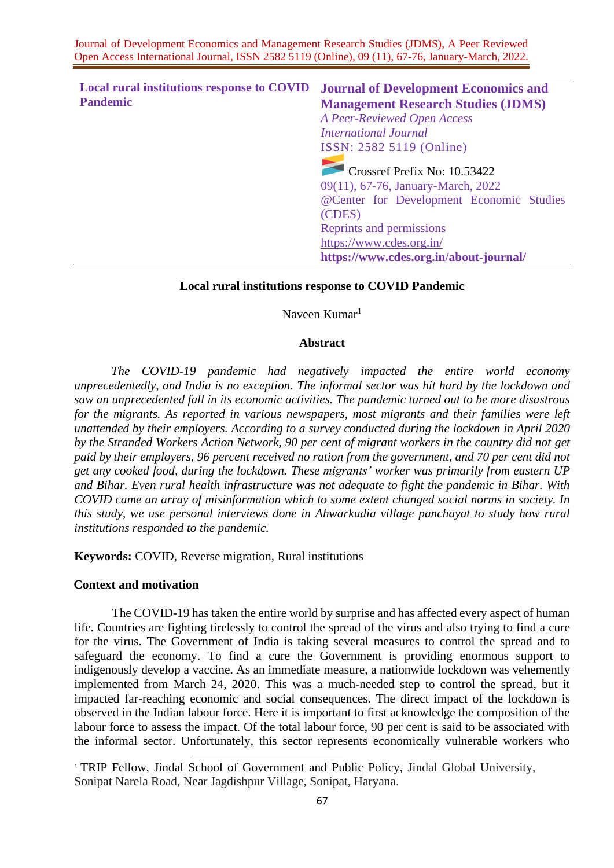| <b>Local rural institutions response to COVID</b> | <b>Journal of Development Economics and</b> |
|---------------------------------------------------|---------------------------------------------|
| <b>Pandemic</b>                                   | <b>Management Research Studies (JDMS)</b>   |
|                                                   | A Peer-Reviewed Open Access                 |
|                                                   | <b>International Journal</b>                |
|                                                   | ISSN: 2582 5119 (Online)                    |
|                                                   | Crossref Prefix No: 10.53422                |
|                                                   | 09(11), 67-76, January-March, 2022          |
|                                                   | @Center for Development Economic Studies    |
|                                                   | (CDES)                                      |
|                                                   | Reprints and permissions                    |
|                                                   | https://www.cdes.org.in/                    |
|                                                   | https://www.cdes.org.in/about-journal/      |

## **Local rural institutions response to COVID Pandemic**

# Naveen Kumar<sup>1</sup>

## **Abstract**

*The COVID-19 pandemic had negatively impacted the entire world economy unprecedentedly, and India is no exception. The informal sector was hit hard by the lockdown and saw an unprecedented fall in its economic activities. The pandemic turned out to be more disastrous for the migrants. As reported in various newspapers, most migrants and their families were left unattended by their employers. According to a survey conducted during the lockdown in April 2020 by the Stranded Workers Action Network, 90 per cent of migrant workers in the country did not get paid by their employers, 96 percent received no ration from the government, and 70 per cent did not get any cooked food, during the lockdown. These migrants' worker was primarily from eastern UP and Bihar. Even rural health infrastructure was not adequate to fight the pandemic in Bihar. With COVID came an array of misinformation which to some extent changed social norms in society. In this study, we use personal interviews done in Ahwarkudia village panchayat to study how rural institutions responded to the pandemic.*

**Keywords:** COVID, Reverse migration, Rural institutions

### **Context and motivation**

The COVID-19 has taken the entire world by surprise and has affected every aspect of human life. Countries are fighting tirelessly to control the spread of the virus and also trying to find a cure for the virus. The Government of India is taking several measures to control the spread and to safeguard the economy. To find a cure the Government is providing enormous support to indigenously develop a vaccine. As an immediate measure, a nationwide lockdown was vehemently implemented from March 24, 2020. This was a much-needed step to control the spread, but it impacted far-reaching economic and social consequences. The direct impact of the lockdown is observed in the Indian labour force. Here it is important to first acknowledge the composition of the labour force to assess the impact. Of the total labour force, 90 per cent is said to be associated with the informal sector. Unfortunately, this sector represents economically vulnerable workers who

<sup>1</sup> TRIP Fellow, Jindal School of Government and Public Policy, Jindal Global University, Sonipat Narela Road, Near Jagdishpur Village, Sonipat, Haryana.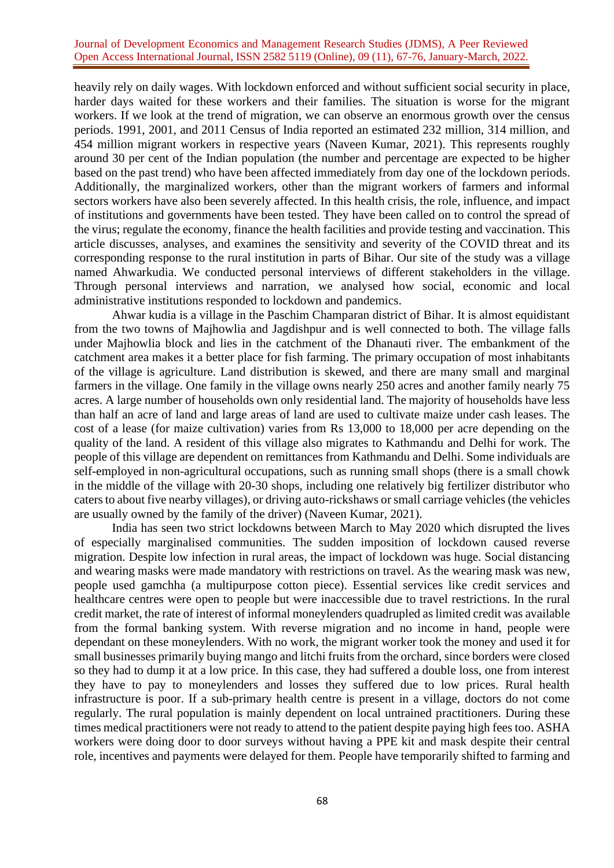heavily rely on daily wages. With lockdown enforced and without sufficient social security in place, harder days waited for these workers and their families. The situation is worse for the migrant workers. If we look at the trend of migration, we can observe an enormous growth over the census periods. 1991, 2001, and 2011 Census of India reported an estimated 232 million, 314 million, and 454 million migrant workers in respective years (Naveen Kumar, 2021). This represents roughly around 30 per cent of the Indian population (the number and percentage are expected to be higher based on the past trend) who have been affected immediately from day one of the lockdown periods. Additionally, the marginalized workers, other than the migrant workers of farmers and informal sectors workers have also been severely affected. In this health crisis, the role, influence, and impact of institutions and governments have been tested. They have been called on to control the spread of the virus; regulate the economy, finance the health facilities and provide testing and vaccination. This article discusses, analyses, and examines the sensitivity and severity of the COVID threat and its corresponding response to the rural institution in parts of Bihar. Our site of the study was a village named Ahwarkudia. We conducted personal interviews of different stakeholders in the village. Through personal interviews and narration, we analysed how social, economic and local administrative institutions responded to lockdown and pandemics.

Ahwar kudia is a village in the Paschim Champaran district of Bihar. It is almost equidistant from the two towns of Majhowlia and Jagdishpur and is well connected to both. The village falls under Majhowlia block and lies in the catchment of the Dhanauti river. The embankment of the catchment area makes it a better place for fish farming. The primary occupation of most inhabitants of the village is agriculture. Land distribution is skewed, and there are many small and marginal farmers in the village. One family in the village owns nearly 250 acres and another family nearly 75 acres. A large number of households own only residential land. The majority of households have less than half an acre of land and large areas of land are used to cultivate maize under cash leases. The cost of a lease (for maize cultivation) varies from Rs 13,000 to 18,000 per acre depending on the quality of the land. A resident of this village also migrates to Kathmandu and Delhi for work. The people of this village are dependent on remittances from Kathmandu and Delhi. Some individuals are self-employed in non-agricultural occupations, such as running small shops (there is a small chowk in the middle of the village with 20-30 shops, including one relatively big fertilizer distributor who caters to about five nearby villages), or driving auto-rickshaws or small carriage vehicles (the vehicles are usually owned by the family of the driver) (Naveen Kumar, 2021).

India has seen two strict lockdowns between March to May 2020 which disrupted the lives of especially marginalised communities. The sudden imposition of lockdown caused reverse migration. Despite low infection in rural areas, the impact of lockdown was huge. Social distancing and wearing masks were made mandatory with restrictions on travel. As the wearing mask was new, people used gamchha (a multipurpose cotton piece). Essential services like credit services and healthcare centres were open to people but were inaccessible due to travel restrictions. In the rural credit market, the rate of interest of informal moneylenders quadrupled as limited credit was available from the formal banking system. With reverse migration and no income in hand, people were dependant on these moneylenders. With no work, the migrant worker took the money and used it for small businesses primarily buying mango and litchi fruits from the orchard, since borders were closed so they had to dump it at a low price. In this case, they had suffered a double loss, one from interest they have to pay to moneylenders and losses they suffered due to low prices. Rural health infrastructure is poor. If a sub-primary health centre is present in a village, doctors do not come regularly. The rural population is mainly dependent on local untrained practitioners. During these times medical practitioners were not ready to attend to the patient despite paying high fees too. ASHA workers were doing door to door surveys without having a PPE kit and mask despite their central role, incentives and payments were delayed for them. People have temporarily shifted to farming and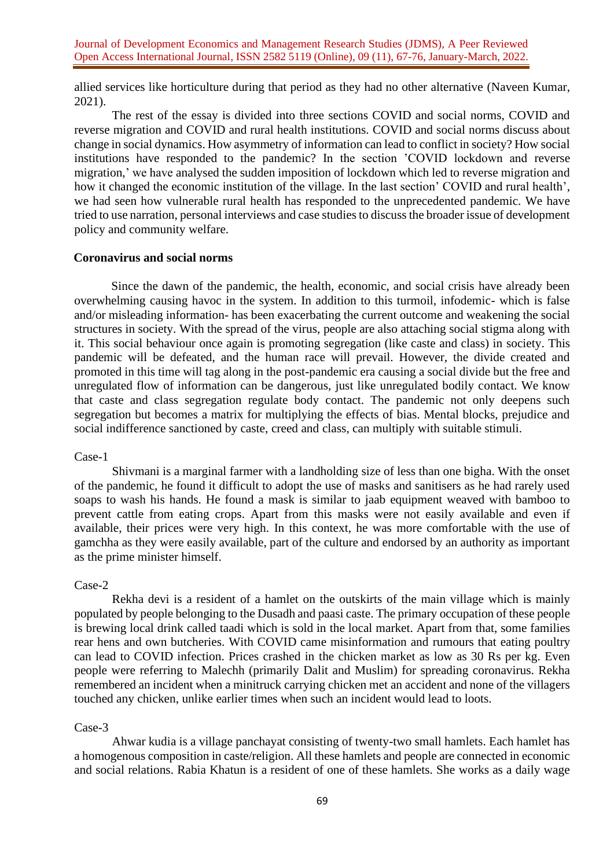allied services like horticulture during that period as they had no other alternative (Naveen Kumar, 2021).

The rest of the essay is divided into three sections COVID and social norms, COVID and reverse migration and COVID and rural health institutions. COVID and social norms discuss about change in social dynamics. How asymmetry of information can lead to conflict in society? How social institutions have responded to the pandemic? In the section 'COVID lockdown and reverse migration,' we have analysed the sudden imposition of lockdown which led to reverse migration and how it changed the economic institution of the village. In the last section' COVID and rural health', we had seen how vulnerable rural health has responded to the unprecedented pandemic. We have tried to use narration, personal interviews and case studiesto discuss the broader issue of development policy and community welfare.

## **Coronavirus and social norms**

Since the dawn of the pandemic, the health, economic, and social crisis have already been overwhelming causing havoc in the system. In addition to this turmoil, infodemic- which is false and/or misleading information- has been exacerbating the current outcome and weakening the social structures in society. With the spread of the virus, people are also attaching social stigma along with it. This social behaviour once again is promoting segregation (like caste and class) in society. This pandemic will be defeated, and the human race will prevail. However, the divide created and promoted in this time will tag along in the post-pandemic era causing a social divide but the free and unregulated flow of information can be dangerous, just like unregulated bodily contact. We know that caste and class segregation regulate body contact. The pandemic not only deepens such segregation but becomes a matrix for multiplying the effects of bias. Mental blocks, prejudice and social indifference sanctioned by caste, creed and class, can multiply with suitable stimuli.

### Case-1

Shivmani is a marginal farmer with a landholding size of less than one bigha. With the onset of the pandemic, he found it difficult to adopt the use of masks and sanitisers as he had rarely used soaps to wash his hands. He found a mask is similar to jaab equipment weaved with bamboo to prevent cattle from eating crops. Apart from this masks were not easily available and even if available, their prices were very high. In this context, he was more comfortable with the use of gamchha as they were easily available, part of the culture and endorsed by an authority as important as the prime minister himself.

#### Case-2

Rekha devi is a resident of a hamlet on the outskirts of the main village which is mainly populated by people belonging to the Dusadh and paasi caste. The primary occupation of these people is brewing local drink called taadi which is sold in the local market. Apart from that, some families rear hens and own butcheries. With COVID came misinformation and rumours that eating poultry can lead to COVID infection. Prices crashed in the chicken market as low as 30 Rs per kg. Even people were referring to Malechh (primarily Dalit and Muslim) for spreading coronavirus. Rekha remembered an incident when a minitruck carrying chicken met an accident and none of the villagers touched any chicken, unlike earlier times when such an incident would lead to loots.

# Case-3

Ahwar kudia is a village panchayat consisting of twenty-two small hamlets. Each hamlet has a homogenous composition in caste/religion. All these hamlets and people are connected in economic and social relations. Rabia Khatun is a resident of one of these hamlets. She works as a daily wage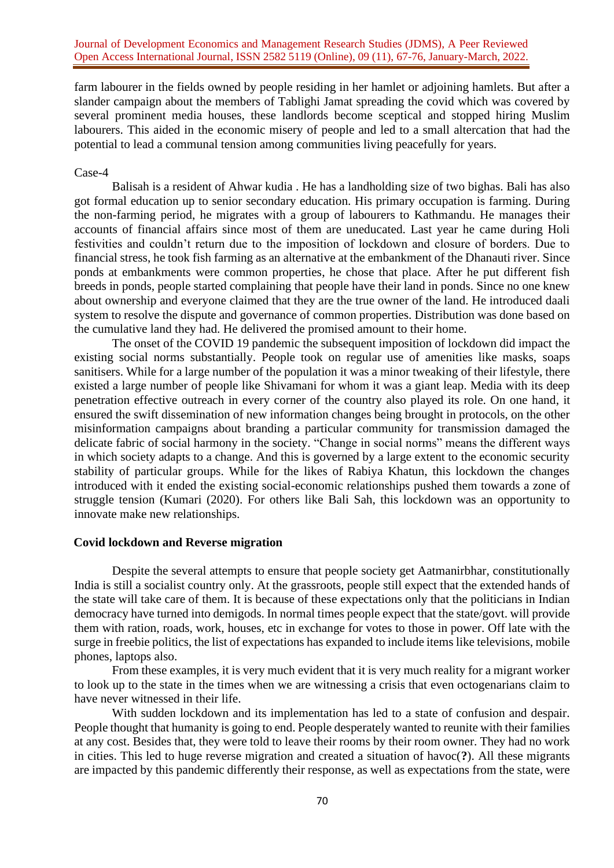farm labourer in the fields owned by people residing in her hamlet or adjoining hamlets. But after a slander campaign about the members of Tablighi Jamat spreading the covid which was covered by several prominent media houses, these landlords become sceptical and stopped hiring Muslim labourers. This aided in the economic misery of people and led to a small altercation that had the potential to lead a communal tension among communities living peacefully for years.

#### Case-4

Balisah is a resident of Ahwar kudia . He has a landholding size of two bighas. Bali has also got formal education up to senior secondary education. His primary occupation is farming. During the non-farming period, he migrates with a group of labourers to Kathmandu. He manages their accounts of financial affairs since most of them are uneducated. Last year he came during Holi festivities and couldn't return due to the imposition of lockdown and closure of borders. Due to financial stress, he took fish farming as an alternative at the embankment of the Dhanauti river. Since ponds at embankments were common properties, he chose that place. After he put different fish breeds in ponds, people started complaining that people have their land in ponds. Since no one knew about ownership and everyone claimed that they are the true owner of the land. He introduced daali system to resolve the dispute and governance of common properties. Distribution was done based on the cumulative land they had. He delivered the promised amount to their home.

The onset of the COVID 19 pandemic the subsequent imposition of lockdown did impact the existing social norms substantially. People took on regular use of amenities like masks, soaps sanitisers. While for a large number of the population it was a minor tweaking of their lifestyle, there existed a large number of people like Shivamani for whom it was a giant leap. Media with its deep penetration effective outreach in every corner of the country also played its role. On one hand, it ensured the swift dissemination of new information changes being brought in protocols, on the other misinformation campaigns about branding a particular community for transmission damaged the delicate fabric of social harmony in the society. "Change in social norms" means the different ways in which society adapts to a change. And this is governed by a large extent to the economic security stability of particular groups. While for the likes of Rabiya Khatun, this lockdown the changes introduced with it ended the existing social-economic relationships pushed them towards a zone of struggle tension (Kumari (2020). For others like Bali Sah, this lockdown was an opportunity to innovate make new relationships.

## **Covid lockdown and Reverse migration**

Despite the several attempts to ensure that people society get Aatmanirbhar, constitutionally India is still a socialist country only. At the grassroots, people still expect that the extended hands of the state will take care of them. It is because of these expectations only that the politicians in Indian democracy have turned into demigods. In normal times people expect that the state/govt. will provide them with ration, roads, work, houses, etc in exchange for votes to those in power. Off late with the surge in freebie politics, the list of expectations has expanded to include items like televisions, mobile phones, laptops also.

From these examples, it is very much evident that it is very much reality for a migrant worker to look up to the state in the times when we are witnessing a crisis that even octogenarians claim to have never witnessed in their life.

With sudden lockdown and its implementation has led to a state of confusion and despair. People thought that humanity is going to end. People desperately wanted to reunite with their families at any cost. Besides that, they were told to leave their rooms by their room owner. They had no work in cities. This led to huge reverse migration and created a situation of havoc(**?**). All these migrants are impacted by this pandemic differently their response, as well as expectations from the state, were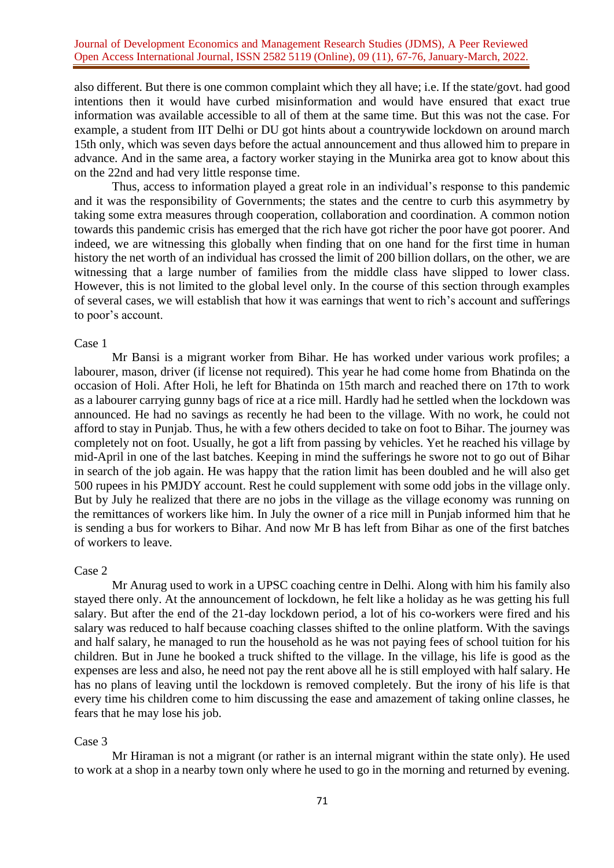also different. But there is one common complaint which they all have; i.e. If the state/govt. had good intentions then it would have curbed misinformation and would have ensured that exact true information was available accessible to all of them at the same time. But this was not the case. For example, a student from IIT Delhi or DU got hints about a countrywide lockdown on around march 15th only, which was seven days before the actual announcement and thus allowed him to prepare in advance. And in the same area, a factory worker staying in the Munirka area got to know about this on the 22nd and had very little response time.

Thus, access to information played a great role in an individual's response to this pandemic and it was the responsibility of Governments; the states and the centre to curb this asymmetry by taking some extra measures through cooperation, collaboration and coordination. A common notion towards this pandemic crisis has emerged that the rich have got richer the poor have got poorer. And indeed, we are witnessing this globally when finding that on one hand for the first time in human history the net worth of an individual has crossed the limit of 200 billion dollars, on the other, we are witnessing that a large number of families from the middle class have slipped to lower class. However, this is not limited to the global level only. In the course of this section through examples of several cases, we will establish that how it was earnings that went to rich's account and sufferings to poor's account.

### Case 1

Mr Bansi is a migrant worker from Bihar. He has worked under various work profiles; a labourer, mason, driver (if license not required). This year he had come home from Bhatinda on the occasion of Holi. After Holi, he left for Bhatinda on 15th march and reached there on 17th to work as a labourer carrying gunny bags of rice at a rice mill. Hardly had he settled when the lockdown was announced. He had no savings as recently he had been to the village. With no work, he could not afford to stay in Punjab. Thus, he with a few others decided to take on foot to Bihar. The journey was completely not on foot. Usually, he got a lift from passing by vehicles. Yet he reached his village by mid-April in one of the last batches. Keeping in mind the sufferings he swore not to go out of Bihar in search of the job again. He was happy that the ration limit has been doubled and he will also get 500 rupees in his PMJDY account. Rest he could supplement with some odd jobs in the village only. But by July he realized that there are no jobs in the village as the village economy was running on the remittances of workers like him. In July the owner of a rice mill in Punjab informed him that he is sending a bus for workers to Bihar. And now Mr B has left from Bihar as one of the first batches of workers to leave.

### Case 2

Mr Anurag used to work in a UPSC coaching centre in Delhi. Along with him his family also stayed there only. At the announcement of lockdown, he felt like a holiday as he was getting his full salary. But after the end of the 21-day lockdown period, a lot of his co-workers were fired and his salary was reduced to half because coaching classes shifted to the online platform. With the savings and half salary, he managed to run the household as he was not paying fees of school tuition for his children. But in June he booked a truck shifted to the village. In the village, his life is good as the expenses are less and also, he need not pay the rent above all he is still employed with half salary. He has no plans of leaving until the lockdown is removed completely. But the irony of his life is that every time his children come to him discussing the ease and amazement of taking online classes, he fears that he may lose his job.

## Case 3

Mr Hiraman is not a migrant (or rather is an internal migrant within the state only). He used to work at a shop in a nearby town only where he used to go in the morning and returned by evening.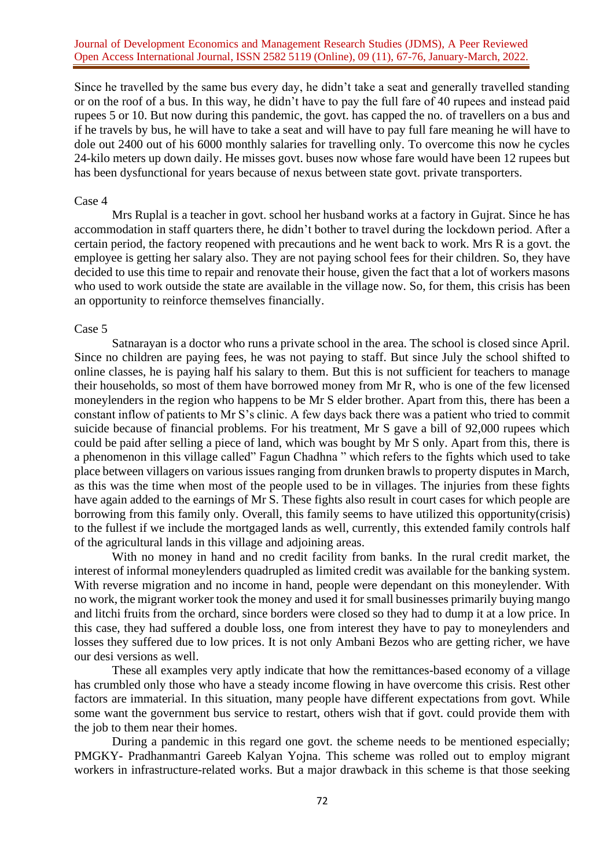Since he travelled by the same bus every day, he didn't take a seat and generally travelled standing or on the roof of a bus. In this way, he didn't have to pay the full fare of 40 rupees and instead paid rupees 5 or 10. But now during this pandemic, the govt. has capped the no. of travellers on a bus and if he travels by bus, he will have to take a seat and will have to pay full fare meaning he will have to dole out 2400 out of his 6000 monthly salaries for travelling only. To overcome this now he cycles 24-kilo meters up down daily. He misses govt. buses now whose fare would have been 12 rupees but has been dysfunctional for years because of nexus between state govt. private transporters.

#### Case 4

Mrs Ruplal is a teacher in govt. school her husband works at a factory in Gujrat. Since he has accommodation in staff quarters there, he didn't bother to travel during the lockdown period. After a certain period, the factory reopened with precautions and he went back to work. Mrs R is a govt. the employee is getting her salary also. They are not paying school fees for their children. So, they have decided to use this time to repair and renovate their house, given the fact that a lot of workers masons who used to work outside the state are available in the village now. So, for them, this crisis has been an opportunity to reinforce themselves financially.

#### Case 5

Satnarayan is a doctor who runs a private school in the area. The school is closed since April. Since no children are paying fees, he was not paying to staff. But since July the school shifted to online classes, he is paying half his salary to them. But this is not sufficient for teachers to manage their households, so most of them have borrowed money from Mr R, who is one of the few licensed moneylenders in the region who happens to be Mr S elder brother. Apart from this, there has been a constant inflow of patients to Mr S's clinic. A few days back there was a patient who tried to commit suicide because of financial problems. For his treatment, Mr S gave a bill of 92,000 rupees which could be paid after selling a piece of land, which was bought by Mr S only. Apart from this, there is a phenomenon in this village called" Fagun Chadhna " which refers to the fights which used to take place between villagers on various issues ranging from drunken brawls to property disputes in March, as this was the time when most of the people used to be in villages. The injuries from these fights have again added to the earnings of Mr S. These fights also result in court cases for which people are borrowing from this family only. Overall, this family seems to have utilized this opportunity(crisis) to the fullest if we include the mortgaged lands as well, currently, this extended family controls half of the agricultural lands in this village and adjoining areas.

With no money in hand and no credit facility from banks. In the rural credit market, the interest of informal moneylenders quadrupled as limited credit was available for the banking system. With reverse migration and no income in hand, people were dependant on this moneylender. With no work, the migrant worker took the money and used it for small businesses primarily buying mango and litchi fruits from the orchard, since borders were closed so they had to dump it at a low price. In this case, they had suffered a double loss, one from interest they have to pay to moneylenders and losses they suffered due to low prices. It is not only Ambani Bezos who are getting richer, we have our desi versions as well.

These all examples very aptly indicate that how the remittances-based economy of a village has crumbled only those who have a steady income flowing in have overcome this crisis. Rest other factors are immaterial. In this situation, many people have different expectations from govt. While some want the government bus service to restart, others wish that if govt. could provide them with the job to them near their homes.

During a pandemic in this regard one govt. the scheme needs to be mentioned especially; PMGKY- Pradhanmantri Gareeb Kalyan Yojna. This scheme was rolled out to employ migrant workers in infrastructure-related works. But a major drawback in this scheme is that those seeking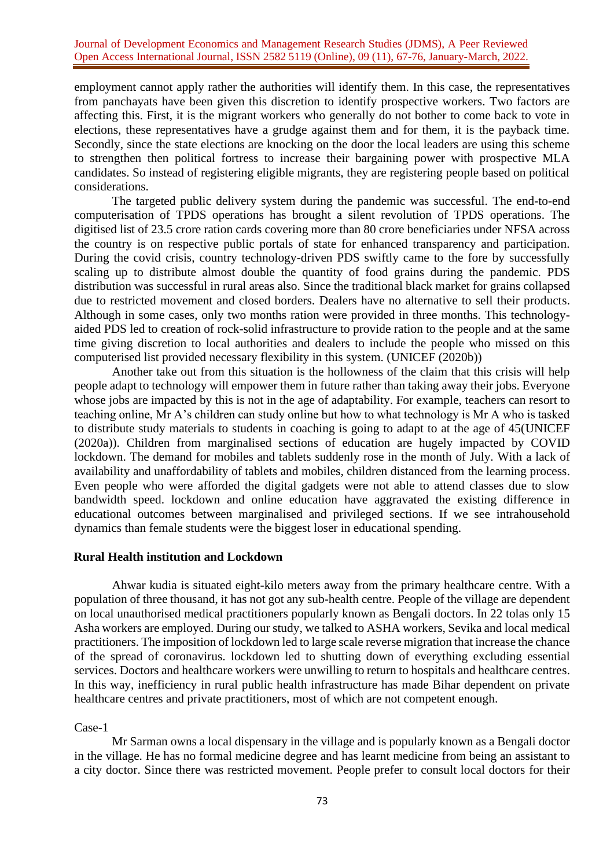employment cannot apply rather the authorities will identify them. In this case, the representatives from panchayats have been given this discretion to identify prospective workers. Two factors are affecting this. First, it is the migrant workers who generally do not bother to come back to vote in elections, these representatives have a grudge against them and for them, it is the payback time. Secondly, since the state elections are knocking on the door the local leaders are using this scheme to strengthen then political fortress to increase their bargaining power with prospective MLA candidates. So instead of registering eligible migrants, they are registering people based on political considerations.

The targeted public delivery system during the pandemic was successful. The end-to-end computerisation of TPDS operations has brought a silent revolution of TPDS operations. The digitised list of 23.5 crore ration cards covering more than 80 crore beneficiaries under NFSA across the country is on respective public portals of state for enhanced transparency and participation. During the covid crisis, country technology-driven PDS swiftly came to the fore by successfully scaling up to distribute almost double the quantity of food grains during the pandemic. PDS distribution was successful in rural areas also. Since the traditional black market for grains collapsed due to restricted movement and closed borders. Dealers have no alternative to sell their products. Although in some cases, only two months ration were provided in three months. This technologyaided PDS led to creation of rock-solid infrastructure to provide ration to the people and at the same time giving discretion to local authorities and dealers to include the people who missed on this computerised list provided necessary flexibility in this system. (UNICEF (2020b))

Another take out from this situation is the hollowness of the claim that this crisis will help people adapt to technology will empower them in future rather than taking away their jobs. Everyone whose jobs are impacted by this is not in the age of adaptability. For example, teachers can resort to teaching online, Mr A's children can study online but how to what technology is Mr A who is tasked to distribute study materials to students in coaching is going to adapt to at the age of 45(UNICEF (2020a)). Children from marginalised sections of education are hugely impacted by COVID lockdown. The demand for mobiles and tablets suddenly rose in the month of July. With a lack of availability and unaffordability of tablets and mobiles, children distanced from the learning process. Even people who were afforded the digital gadgets were not able to attend classes due to slow bandwidth speed. lockdown and online education have aggravated the existing difference in educational outcomes between marginalised and privileged sections. If we see intrahousehold dynamics than female students were the biggest loser in educational spending.

### **Rural Health institution and Lockdown**

Ahwar kudia is situated eight-kilo meters away from the primary healthcare centre. With a population of three thousand, it has not got any sub-health centre. People of the village are dependent on local unauthorised medical practitioners popularly known as Bengali doctors. In 22 tolas only 15 Asha workers are employed. During our study, we talked to ASHA workers, Sevika and local medical practitioners. The imposition of lockdown led to large scale reverse migration that increase the chance of the spread of coronavirus. lockdown led to shutting down of everything excluding essential services. Doctors and healthcare workers were unwilling to return to hospitals and healthcare centres. In this way, inefficiency in rural public health infrastructure has made Bihar dependent on private healthcare centres and private practitioners, most of which are not competent enough.

# Case-1

Mr Sarman owns a local dispensary in the village and is popularly known as a Bengali doctor in the village. He has no formal medicine degree and has learnt medicine from being an assistant to a city doctor. Since there was restricted movement. People prefer to consult local doctors for their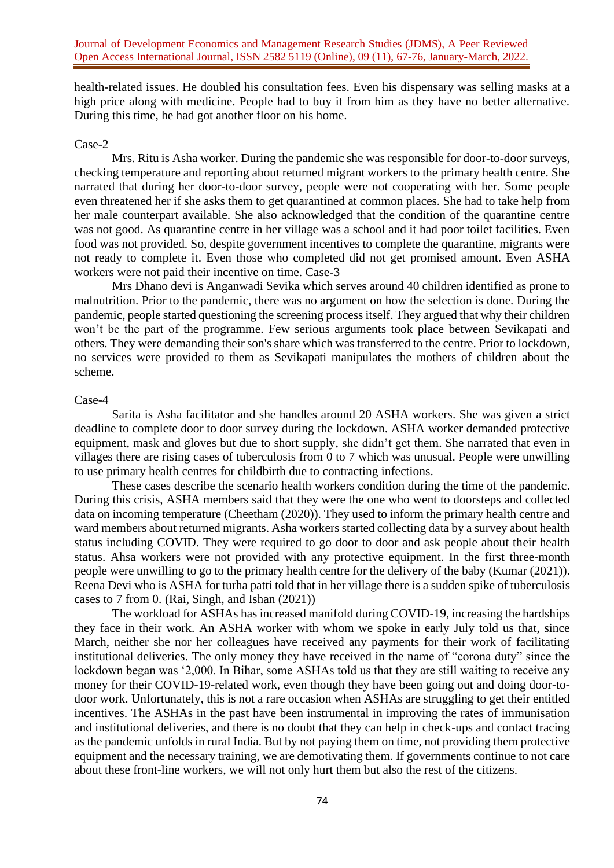health-related issues. He doubled his consultation fees. Even his dispensary was selling masks at a high price along with medicine. People had to buy it from him as they have no better alternative. During this time, he had got another floor on his home.

### Case-2

Mrs. Ritu is Asha worker. During the pandemic she was responsible for door-to-door surveys, checking temperature and reporting about returned migrant workers to the primary health centre. She narrated that during her door-to-door survey, people were not cooperating with her. Some people even threatened her if she asks them to get quarantined at common places. She had to take help from her male counterpart available. She also acknowledged that the condition of the quarantine centre was not good. As quarantine centre in her village was a school and it had poor toilet facilities. Even food was not provided. So, despite government incentives to complete the quarantine, migrants were not ready to complete it. Even those who completed did not get promised amount. Even ASHA workers were not paid their incentive on time. Case-3

Mrs Dhano devi is Anganwadi Sevika which serves around 40 children identified as prone to malnutrition. Prior to the pandemic, there was no argument on how the selection is done. During the pandemic, people started questioning the screening process itself. They argued that why their children won't be the part of the programme. Few serious arguments took place between Sevikapati and others. They were demanding their son's share which was transferred to the centre. Prior to lockdown, no services were provided to them as Sevikapati manipulates the mothers of children about the scheme.

#### Case-4

Sarita is Asha facilitator and she handles around 20 ASHA workers. She was given a strict deadline to complete door to door survey during the lockdown. ASHA worker demanded protective equipment, mask and gloves but due to short supply, she didn't get them. She narrated that even in villages there are rising cases of tuberculosis from 0 to 7 which was unusual. People were unwilling to use primary health centres for childbirth due to contracting infections.

These cases describe the scenario health workers condition during the time of the pandemic. During this crisis, ASHA members said that they were the one who went to doorsteps and collected data on incoming temperature (Cheetham (2020)). They used to inform the primary health centre and ward members about returned migrants. Asha workers started collecting data by a survey about health status including COVID. They were required to go door to door and ask people about their health status. Ahsa workers were not provided with any protective equipment. In the first three-month people were unwilling to go to the primary health centre for the delivery of the baby (Kumar (2021)). Reena Devi who is ASHA for turha patti told that in her village there is a sudden spike of tuberculosis cases to 7 from 0. (Rai, Singh, and Ishan (2021))

The workload for ASHAs has increased manifold during COVID-19, increasing the hardships they face in their work. An ASHA worker with whom we spoke in early July told us that, since March, neither she nor her colleagues have received any payments for their work of facilitating institutional deliveries. The only money they have received in the name of "corona duty" since the lockdown began was '2,000. In Bihar, some ASHAs told us that they are still waiting to receive any money for their COVID-19-related work, even though they have been going out and doing door-todoor work. Unfortunately, this is not a rare occasion when ASHAs are struggling to get their entitled incentives. The ASHAs in the past have been instrumental in improving the rates of immunisation and institutional deliveries, and there is no doubt that they can help in check-ups and contact tracing as the pandemic unfolds in rural India. But by not paying them on time, not providing them protective equipment and the necessary training, we are demotivating them. If governments continue to not care about these front-line workers, we will not only hurt them but also the rest of the citizens.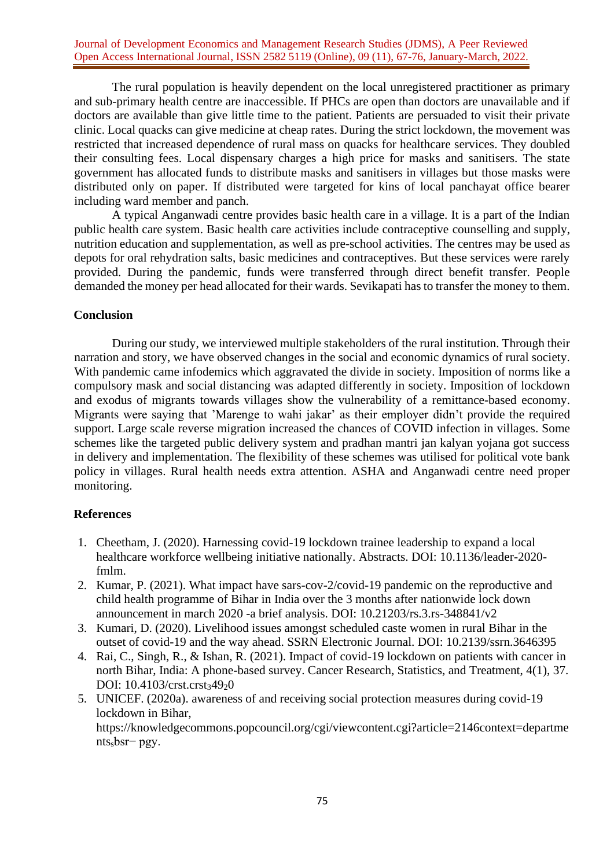The rural population is heavily dependent on the local unregistered practitioner as primary and sub-primary health centre are inaccessible. If PHCs are open than doctors are unavailable and if doctors are available than give little time to the patient. Patients are persuaded to visit their private clinic. Local quacks can give medicine at cheap rates. During the strict lockdown, the movement was restricted that increased dependence of rural mass on quacks for healthcare services. They doubled their consulting fees. Local dispensary charges a high price for masks and sanitisers. The state government has allocated funds to distribute masks and sanitisers in villages but those masks were distributed only on paper. If distributed were targeted for kins of local panchayat office bearer including ward member and panch.

A typical Anganwadi centre provides basic health care in a village. It is a part of the Indian public health care system. Basic health care activities include contraceptive counselling and supply, nutrition education and supplementation, as well as pre-school activities. The centres may be used as depots for oral rehydration salts, basic medicines and contraceptives. But these services were rarely provided. During the pandemic, funds were transferred through direct benefit transfer. People demanded the money per head allocated for their wards. Sevikapati has to transfer the money to them.

# **Conclusion**

During our study, we interviewed multiple stakeholders of the rural institution. Through their narration and story, we have observed changes in the social and economic dynamics of rural society. With pandemic came infodemics which aggravated the divide in society. Imposition of norms like a compulsory mask and social distancing was adapted differently in society. Imposition of lockdown and exodus of migrants towards villages show the vulnerability of a remittance-based economy. Migrants were saying that 'Marenge to wahi jakar' as their employer didn't provide the required support. Large scale reverse migration increased the chances of COVID infection in villages. Some schemes like the targeted public delivery system and pradhan mantri jan kalyan yojana got success in delivery and implementation. The flexibility of these schemes was utilised for political vote bank policy in villages. Rural health needs extra attention. ASHA and Anganwadi centre need proper monitoring.

# **References**

- 1. Cheetham, J. (2020). Harnessing covid-19 lockdown trainee leadership to expand a local healthcare workforce wellbeing initiative nationally. Abstracts. DOI: 10.1136/leader-2020 fmlm.
- 2. Kumar, P. (2021). What impact have sars-cov-2/covid-19 pandemic on the reproductive and child health programme of Bihar in India over the 3 months after nationwide lock down announcement in march 2020 -a brief analysis. DOI: 10.21203/rs.3.rs-348841/v2
- 3. Kumari, D. (2020). Livelihood issues amongst scheduled caste women in rural Bihar in the outset of covid-19 and the way ahead. SSRN Electronic Journal. DOI: 10.2139/ssrn.3646395
- 4. Rai, C., Singh, R., & Ishan, R. (2021). Impact of covid-19 lockdown on patients with cancer in north Bihar, India: A phone-based survey. Cancer Research, Statistics, and Treatment, 4(1), 37. DOI: 10.4103/crst.crst34920
- 5. UNICEF. (2020a). awareness of and receiving social protection measures during covid-19 lockdown in Bihar, https://knowledgecommons.popcouncil.org/cgi/viewcontent.cgi?article=2146context=departme ntssbsr− pgy.